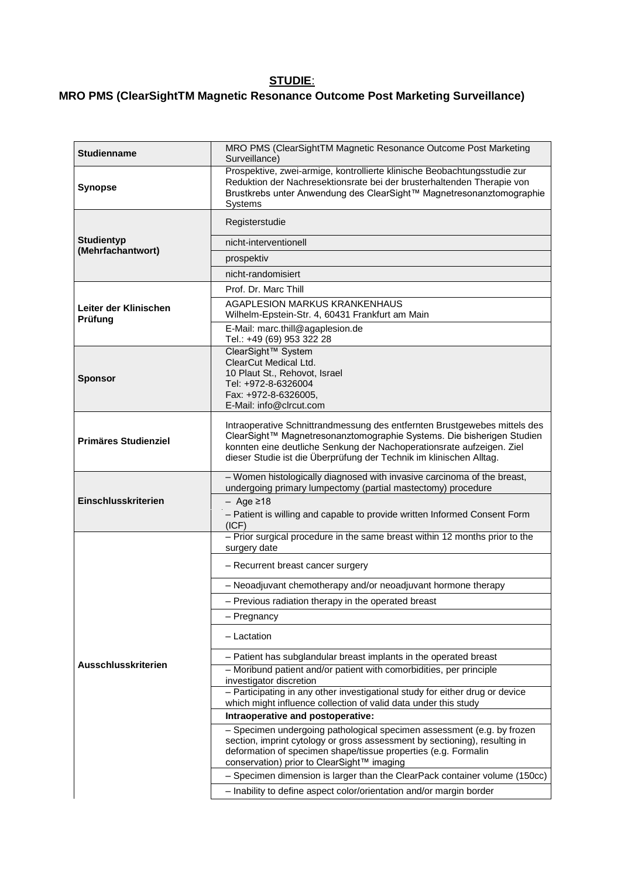## **STUDIE**:

## **MRO PMS (ClearSightTM Magnetic Resonance Outcome Post Marketing Surveillance)**

| <b>Studienname</b>                     | MRO PMS (ClearSightTM Magnetic Resonance Outcome Post Marketing<br>Surveillance)                                                                                                                                                                                                                   |
|----------------------------------------|----------------------------------------------------------------------------------------------------------------------------------------------------------------------------------------------------------------------------------------------------------------------------------------------------|
| <b>Synopse</b>                         | Prospektive, zwei-armige, kontrollierte klinische Beobachtungsstudie zur<br>Reduktion der Nachresektionsrate bei der brusterhaltenden Therapie von<br>Brustkrebs unter Anwendung des ClearSight™ Magnetresonanztomographie<br>Systems                                                              |
| <b>Studientyp</b><br>(Mehrfachantwort) | Registerstudie                                                                                                                                                                                                                                                                                     |
|                                        | nicht-interventionell                                                                                                                                                                                                                                                                              |
|                                        | prospektiv                                                                                                                                                                                                                                                                                         |
|                                        | nicht-randomisiert                                                                                                                                                                                                                                                                                 |
| Leiter der Klinischen<br>Prüfung       | Prof. Dr. Marc Thill                                                                                                                                                                                                                                                                               |
|                                        | AGAPLESION MARKUS KRANKENHAUS<br>Wilhelm-Epstein-Str. 4, 60431 Frankfurt am Main                                                                                                                                                                                                                   |
|                                        | E-Mail: marc.thill@agaplesion.de<br>Tel.: +49 (69) 953 322 28                                                                                                                                                                                                                                      |
| <b>Sponsor</b>                         | ClearSight™ System<br>ClearCut Medical Ltd.                                                                                                                                                                                                                                                        |
|                                        | 10 Plaut St., Rehovot, Israel                                                                                                                                                                                                                                                                      |
|                                        | Tel: +972-8-6326004<br>Fax: +972-8-6326005,                                                                                                                                                                                                                                                        |
|                                        | E-Mail: info@clrcut.com                                                                                                                                                                                                                                                                            |
| <b>Primäres Studienziel</b>            | Intraoperative Schnittrandmessung des entfernten Brustgewebes mittels des<br>ClearSight™ Magnetresonanztomographie Systems. Die bisherigen Studien<br>konnten eine deutliche Senkung der Nachoperationsrate aufzeigen. Ziel<br>dieser Studie ist die Überprüfung der Technik im klinischen Alltag. |
| Einschlusskriterien                    | - Women histologically diagnosed with invasive carcinoma of the breast,<br>undergoing primary lumpectomy (partial mastectomy) procedure                                                                                                                                                            |
|                                        | $-$ Age $\geq$ 18                                                                                                                                                                                                                                                                                  |
|                                        | - Patient is willing and capable to provide written Informed Consent Form<br>(ICF)                                                                                                                                                                                                                 |
| Ausschlusskriterien                    | - Prior surgical procedure in the same breast within 12 months prior to the<br>surgery date                                                                                                                                                                                                        |
|                                        | - Recurrent breast cancer surgery                                                                                                                                                                                                                                                                  |
|                                        | - Neoadjuvant chemotherapy and/or neoadjuvant hormone therapy                                                                                                                                                                                                                                      |
|                                        | - Previous radiation therapy in the operated breast                                                                                                                                                                                                                                                |
|                                        | - Pregnancy                                                                                                                                                                                                                                                                                        |
|                                        | - Lactation                                                                                                                                                                                                                                                                                        |
|                                        | - Patient has subglandular breast implants in the operated breast                                                                                                                                                                                                                                  |
|                                        | - Moribund patient and/or patient with comorbidities, per principle<br>investigator discretion                                                                                                                                                                                                     |
|                                        | - Participating in any other investigational study for either drug or device<br>which might influence collection of valid data under this study                                                                                                                                                    |
|                                        | Intraoperative and postoperative:                                                                                                                                                                                                                                                                  |
|                                        | - Specimen undergoing pathological specimen assessment (e.g. by frozen<br>section, imprint cytology or gross assessment by sectioning), resulting in<br>deformation of specimen shape/tissue properties (e.g. Formalin<br>conservation) prior to ClearSight™ imaging                               |
|                                        | - Specimen dimension is larger than the ClearPack container volume (150cc)                                                                                                                                                                                                                         |
|                                        | - Inability to define aspect color/orientation and/or margin border                                                                                                                                                                                                                                |